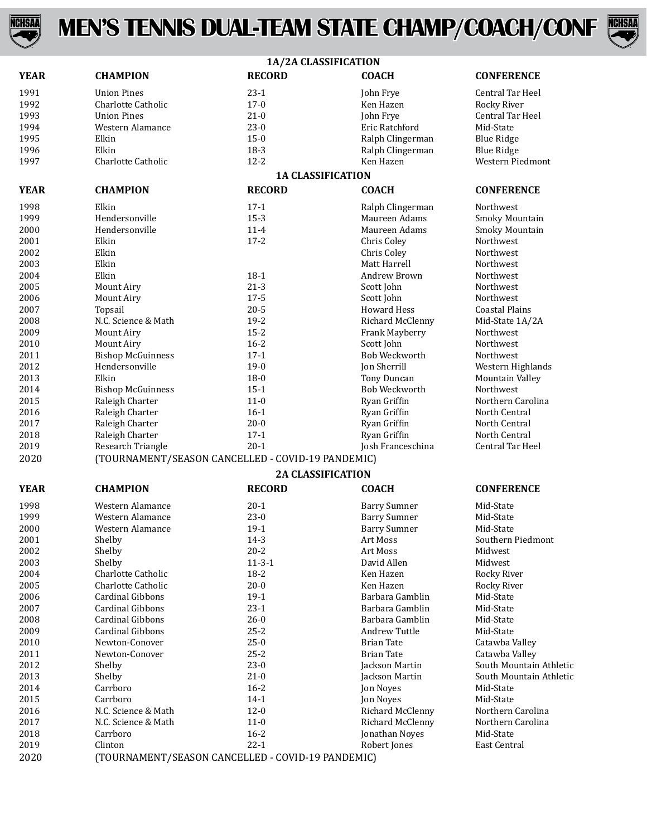

## **MEN'S TENNIS DUAL-TEAM STATE CHAMP/COACH/CONF**



|             | 1A/2A CLASSIFICATION                              |                          |                      |                         |  |  |
|-------------|---------------------------------------------------|--------------------------|----------------------|-------------------------|--|--|
| <b>YEAR</b> | <b>CHAMPION</b>                                   | <b>RECORD</b>            | <b>COACH</b>         | <b>CONFERENCE</b>       |  |  |
| 1991        | <b>Union Pines</b>                                | $23-1$                   | John Frye            | Central Tar Heel        |  |  |
| 1992        | Charlotte Catholic                                | $17 - 0$                 | Ken Hazen            | Rocky River             |  |  |
| 1993        | <b>Union Pines</b>                                | $21 - 0$                 | John Frye            | Central Tar Heel        |  |  |
| 1994        | Western Alamance                                  | $23-0$                   | Eric Ratchford       | Mid-State               |  |  |
| 1995        | Elkin                                             | $15 - 0$                 | Ralph Clingerman     | <b>Blue Ridge</b>       |  |  |
| 1996        | Elkin                                             | $18-3$                   | Ralph Clingerman     | <b>Blue Ridge</b>       |  |  |
| 1997        | Charlotte Catholic                                | $12 - 2$                 | Ken Hazen            | Western Piedmont        |  |  |
|             |                                                   | <b>1A CLASSIFICATION</b> |                      |                         |  |  |
| <b>YEAR</b> | <b>CHAMPION</b>                                   | <b>RECORD</b>            | <b>COACH</b>         | <b>CONFERENCE</b>       |  |  |
| 1998        | Elkin                                             | $17-1$                   | Ralph Clingerman     | Northwest               |  |  |
| 1999        | Hendersonville                                    | $15-3$                   | Maureen Adams        | Smoky Mountain          |  |  |
| 2000        | Hendersonville                                    | $11 - 4$                 | Maureen Adams        | Smoky Mountain          |  |  |
| 2001        | Elkin                                             | $17 - 2$                 | Chris Coley          | Northwest               |  |  |
| 2002        | Elkin                                             |                          | Chris Coley          | Northwest               |  |  |
| 2003        | Elkin                                             |                          | Matt Harrell         | Northwest               |  |  |
| 2004        | Elkin                                             | $18-1$                   | Andrew Brown         | Northwest               |  |  |
| 2005        | <b>Mount Airy</b>                                 | $21-3$                   | Scott John           | Northwest               |  |  |
| 2006        | <b>Mount Airy</b>                                 | $17 - 5$                 | Scott John           | <b>Northwest</b>        |  |  |
| 2007        | Topsail                                           | $20 - 5$                 | <b>Howard Hess</b>   | <b>Coastal Plains</b>   |  |  |
| 2008        | N.C. Science & Math                               | $19 - 2$                 | Richard McClenny     | Mid-State 1A/2A         |  |  |
| 2009        | <b>Mount Airy</b>                                 | $15 - 2$                 | Frank Mayberry       | Northwest               |  |  |
| 2010        | Mount Airy                                        | $16 - 2$                 | Scott John           | Northwest               |  |  |
| 2011        | <b>Bishop McGuinness</b>                          | $17-1$                   | <b>Bob Weckworth</b> | Northwest               |  |  |
| 2012        | Hendersonville                                    | $19-0$                   | Jon Sherrill         | Western Highlands       |  |  |
| 2013        | Elkin                                             | $18 - 0$                 | Tony Duncan          | Mountain Valley         |  |  |
| 2014        | <b>Bishop McGuinness</b>                          | $15-1$                   | Bob Weckworth        | Northwest               |  |  |
| 2015        | Raleigh Charter                                   | $11 - 0$                 | Ryan Griffin         | Northern Carolina       |  |  |
| 2016        | Raleigh Charter                                   | $16-1$                   | Ryan Griffin         | North Central           |  |  |
| 2017        | Raleigh Charter                                   | $20 - 0$                 | Ryan Griffin         | North Central           |  |  |
| 2018        | Raleigh Charter                                   | $17-1$                   | Ryan Griffin         | North Central           |  |  |
| 2019        | Research Triangle                                 | $20 - 1$                 | Josh Franceschina    | Central Tar Heel        |  |  |
| 2020        | (TOURNAMENT/SEASON CANCELLED - COVID-19 PANDEMIC) |                          |                      |                         |  |  |
|             |                                                   | <b>2A CLASSIFICATION</b> |                      |                         |  |  |
| <b>YEAR</b> | <b>CHAMPION</b>                                   | <b>RECORD</b>            | <b>COACH</b>         | <b>CONFERENCE</b>       |  |  |
| 1998        | Western Alamance                                  | $20-1$                   | <b>Barry Sumner</b>  | Mid-State               |  |  |
| 1999        | Western Alamance                                  | $23-0$                   | <b>Barry Sumner</b>  | Mid-State               |  |  |
| 2000        | Western Alamance                                  | $19-1$                   | <b>Barry Sumner</b>  | Mid-State               |  |  |
| 2001        | Shelby                                            | $14-3$                   | Art Moss             | Southern Piedmont       |  |  |
| 2002        | Shelby                                            | $20 - 2$                 | Art Moss             | Midwest                 |  |  |
| 2003        | Shelby                                            | $11 - 3 - 1$             | David Allen          | Midwest                 |  |  |
| 2004        | Charlotte Catholic                                | $18 - 2$                 | Ken Hazen            | Rocky River             |  |  |
| 2005        | Charlotte Catholic                                | $20 - 0$                 | Ken Hazen            | Rocky River             |  |  |
| 2006        | <b>Cardinal Gibbons</b>                           | $19-1$                   | Barbara Gamblin      | Mid-State               |  |  |
| 2007        | Cardinal Gibbons                                  | $23-1$                   | Barbara Gamblin      | Mid-State               |  |  |
| 2008        | <b>Cardinal Gibbons</b>                           | $26 - 0$                 | Barbara Gamblin      | Mid-State               |  |  |
| 2009        | <b>Cardinal Gibbons</b>                           | $25 - 2$                 | Andrew Tuttle        | Mid-State               |  |  |
| 2010        | Newton-Conover                                    | $25-0$                   | <b>Brian Tate</b>    | Catawba Valley          |  |  |
| 2011        | Newton-Conover                                    | $25 - 2$                 | <b>Brian Tate</b>    | Catawba Valley          |  |  |
| 2012        | Shelby                                            | $23-0$                   | Jackson Martin       | South Mountain Athletic |  |  |
| 2013        | Shelby                                            | $21 - 0$                 | Jackson Martin       | South Mountain Athletic |  |  |
| 2014        | Carrboro                                          | $16 - 2$                 | Jon Noyes            | Mid-State               |  |  |
| 2015        | Carrboro                                          | $14-1$                   | Jon Noyes            | Mid-State               |  |  |
| 2016        | N.C. Science & Math                               | $12 - 0$                 | Richard McClenny     | Northern Carolina       |  |  |
| 2017        | N.C. Science & Math                               | $11 - 0$                 | Richard McClenny     | Northern Carolina       |  |  |
| 2018        | Carrboro                                          | $16 - 2$                 | Jonathan Noyes       | Mid-State               |  |  |
|             |                                                   |                          |                      |                         |  |  |

 Clinton 22-1 Robert Jones East Central (TOURNAMENT/SEASON CANCELLED - COVID-19 PANDEMIC)